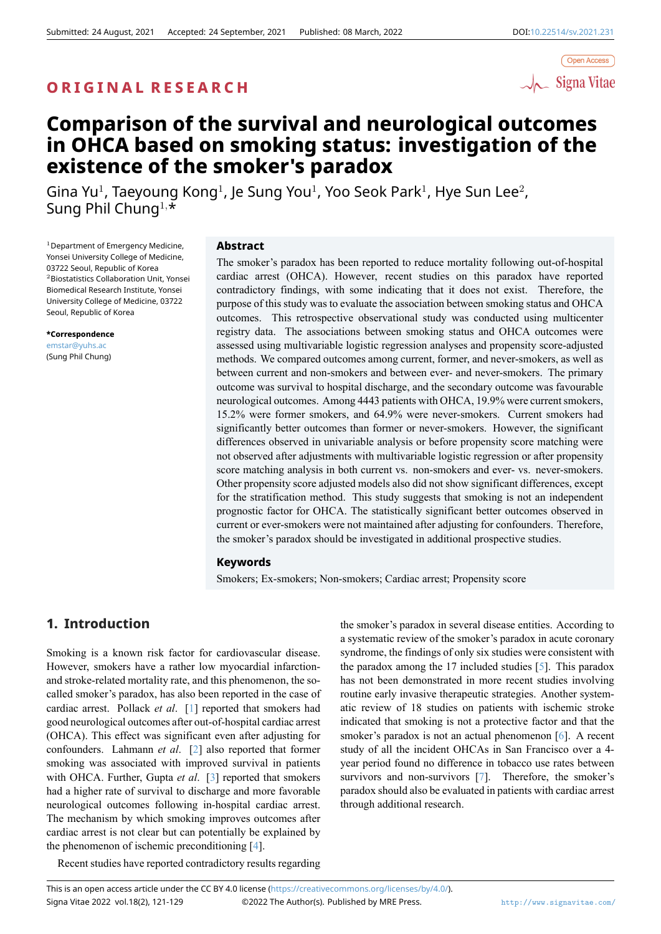

# **Comparison of the survival and neurological outcomes in OHCA based on smoking status: investigation of the existence of the smoker's paradox**

Gina Yu $^1$ , Taeyoung Kong $^1$ , Je Sung You $^1$ , Yoo Seok Park $^1$ , Hye Sun Lee $^2$ , Sung Phil Chung<sup>1</sup>*,*\*

 $1$ Department of Emergency Medicine, Yonsei University College of Medicine, 03722 Seoul, Republic of Korea <sup>2</sup>Biostatistics Collaboration Unit, Yonsei Biomedical Research Institute, Yonsei University College of Medicine, 03722 Seoul, Republic of Korea

**\*Correspondence** emstar@yuhs.ac (Sung Phil Chung)

### **Abstract**

The smoker's paradox has been reported to reduce mortality following out-of-hospital cardiac arrest (OHCA). However, recent studies on this paradox have reported contradictory findings, with some indicating that it does not exist. Therefore, the purpose of this study was to evaluate the association between smoking status and OHCA outcomes. This retrospective observational study was conducted using multicenter registry data. The associations between smoking status and OHCA outcomes were assessed using multivariable logistic regression analyses and propensity score-adjusted methods. We compared outcomes among current, former, and never-smokers, as well as between current and non-smokers and between ever- and never-smokers. The primary outcome was survival to hospital discharge, and the secondary outcome was favourable neurological outcomes. Among 4443 patients with OHCA, 19.9% were current smokers, 15.2% were former smokers, and 64.9% were never-smokers. Current smokers had significantly better outcomes than former or never-smokers. However, the significant differences observed in univariable analysis or before propensity score matching were not observed after adjustments with multivariable logistic regression or after propensity score matching analysis in both current vs. non-smokers and ever- vs. never-smokers. Other propensity score adjusted models also did not show significant differences, except for the stratification method. This study suggests that smoking is not an independent prognostic factor for OHCA. The statistically significant better outcomes observed in current or ever-smokers were not maintained after adjusting for confounders. Therefore, the smoker's paradox should be investigated in additional prospective studies.

#### **Keywords**

Smokers; Ex-smokers; Non-smokers; Cardiac arrest; Propensity score

# **1. Introduction**

Smoking is a known risk factor for cardiovascular disease. However, smokers have a rather low myocardial infarctionand stroke-related mortality rate, and this phenomenon, the socalled smoker's paradox, has also been reported in the case of cardiac arrest. Pollack *et al*. [1] reported that smokers had good neurological outcomes after out-of-hospital cardiac arrest (OHCA). This effect was significant even after adjusting for confounders. Lahmann *et al*. [2] also reported that former smoking was associated withi[m](#page-8-0)proved survival in patients with OHCA. Further, Gupta *et al*. [3] reported that smokers had a higher rate of survival to discharge and more favorable neurological outcomes followin[g](#page-8-1) in-hospital cardiac arrest. The mechanism by which smoking improves outcomes after cardiac arrest is not clear but can po[te](#page-8-2)ntially be explained by the phenomenon of ischemic preconditioning [4].

the smoker's paradox in several disease entities. According to a systematic review of the smoker's paradox in acute coronary syndrome, the findings of only six studies were consistent with the paradox among the 17 included studies [5]. This paradox has not been demonstrated in more recent studies involving routine early invasive therapeutic strategies. Another systematic review of 18 studies on patients with ischemic stroke indicated that smoking is not a protective f[ac](#page-8-4)tor and that the smoker's paradox is not an actual phenomenon [6]. A recent study of all the incident OHCAs in San Francisco over a 4 year period found no difference in tobacco use rates between survivors and non-survivors [7]. Therefore, the smoker's paradox should also be evaluated in patients with [ca](#page-8-5)rdiac arrest through additional research.

Recent studies have reported contradictory results regarding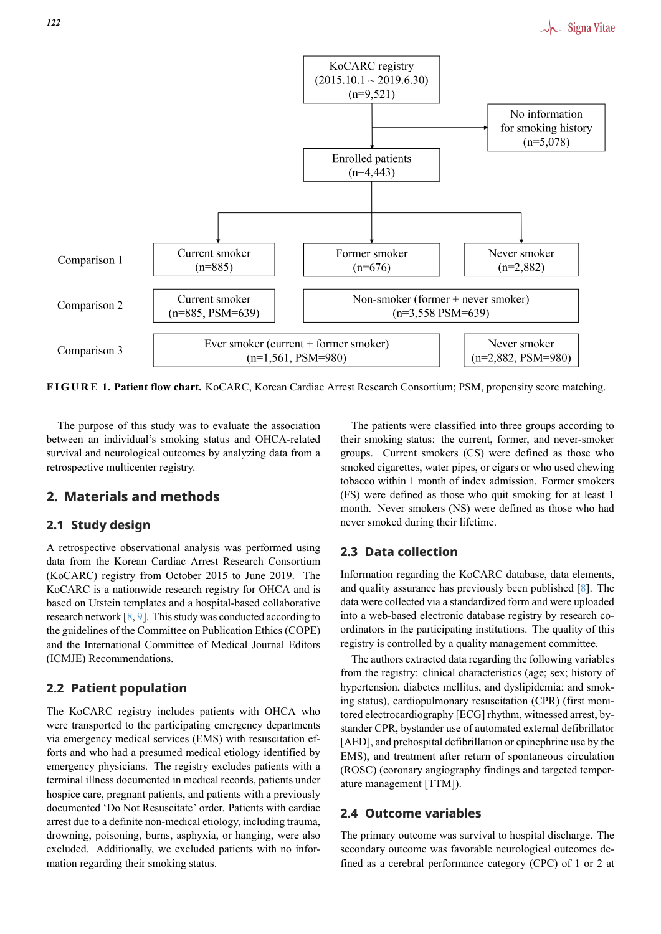<span id="page-1-0"></span>

**F I G U R E 1. Patient flow chart.** KoCARC, Korean Cardiac Arrest Research Consortium; PSM, propensity score matching.

The purpose of this study was to evaluate the association between an individual's smoking status and OHCA-related survival and neurological outcomes by analyzing data from a retrospective multicenter registry.

# **2. Materials and methods**

## **2.1 Study design**

A retrospective observational analysis was performed using data from the Korean Cardiac Arrest Research Consortium (KoCARC) registry from October 2015 to June 2019. The KoCARC is a nationwide research registry for OHCA and is based on Utstein templates and a hospital-based collaborative research network [8, 9]. This study was conducted according to the guidelines of the Committee on Publication Ethics (COPE) and the International Committee of Medical Journal Editors (ICMJE) Recommendations.

## **2.2 Patient population**

The KoCARC registry includes patients with OHCA who were transported to the participating emergency departments via emergency medical services (EMS) with resuscitation efforts and who had a presumed medical etiology identified by emergency physicians. The registry excludes patients with a terminal illness documented in medical records, patients under hospice care, pregnant patients, and patients with a previously documented 'Do Not Resuscitate' order. Patients with cardiac arrest due to a definite non-medical etiology, including trauma, drowning, poisoning, burns, asphyxia, or hanging, were also excluded. Additionally, we excluded patients with no information regarding their smoking status.

The patients were classified into three groups according to their smoking status: the current, former, and never-smoker groups. Current smokers (CS) were defined as those who smoked cigarettes, water pipes, or cigars or who used chewing tobacco within 1 month of index admission. Former smokers (FS) were defined as those who quit smoking for at least 1 month. Never smokers (NS) were defined as those who had never smoked during their lifetime.

## **2.3 Data collection**

Information regarding the KoCARC database, data elements, and quality assurance has previously been published [8]. The data were collected via a standardized form and were uploaded into a web-based electronic database registry by research coordinators in the participating institutions. The quality of this registry is controlled by a quality management commi[tte](#page-8-6)e.

The authors extracted data regarding the following variables from the registry: clinical characteristics (age; sex; history of hypertension, diabetes mellitus, and dyslipidemia; and smoking status), cardiopulmonary resuscitation (CPR) (first monitored electrocardiography [ECG] rhythm, witnessed arrest, bystander CPR, bystander use of automated external defibrillator [AED], and prehospital defibrillation or epinephrine use by the EMS), and treatment after return of spontaneous circulation (ROSC) (coronary angiography findings and targeted temperature management [TTM]).

## **2.4 Outcome variables**

The primary outcome was survival to hospital discharge. The secondary outcome was favorable neurological outcomes defined as a cerebral performance category (CPC) of 1 or 2 at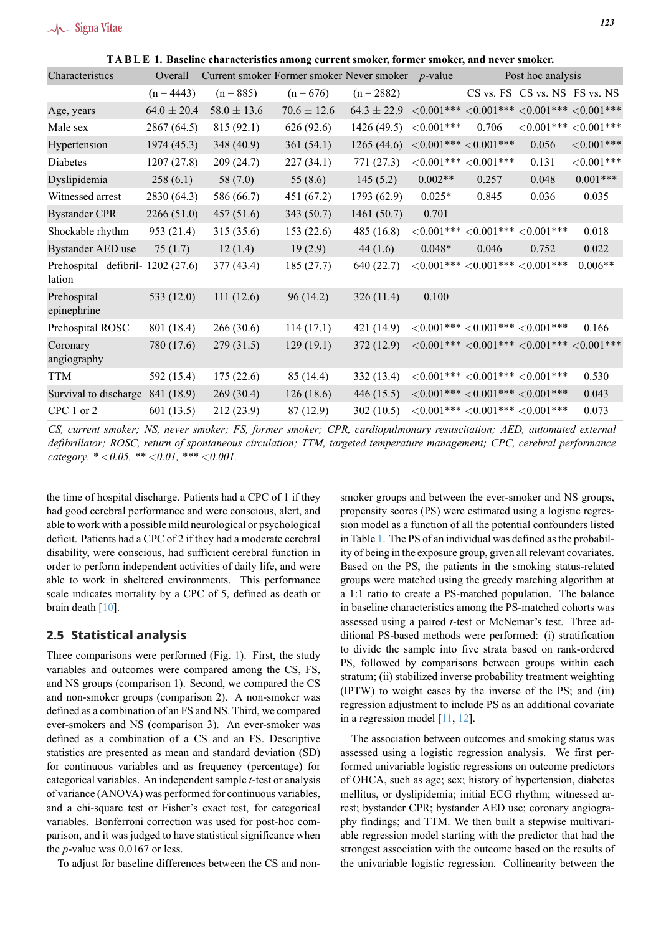<span id="page-2-0"></span>

| Characteristics                            | Overall         |                 | Current smoker Former smoker Never smoker |                 | $p$ -value    |                          | Post hoc analysis                                         |                                                        |
|--------------------------------------------|-----------------|-----------------|-------------------------------------------|-----------------|---------------|--------------------------|-----------------------------------------------------------|--------------------------------------------------------|
|                                            | $(n = 4443)$    | $(n = 885)$     | $(n = 676)$                               | $(n = 2882)$    |               |                          | CS vs. FS CS vs. NS FS vs. NS                             |                                                        |
| Age, years                                 | $64.0 \pm 20.4$ | $58.0 \pm 13.6$ | $70.6 \pm 12.6$                           | $64.3 \pm 22.9$ |               |                          |                                                           | $\langle 0.001***<0.001***<0.001***<0.001***$          |
| Male sex                                   | 2867 (64.5)     | 815 (92.1)      | 626 (92.6)                                | 1426 (49.5)     | ${<}0.001***$ | 0.706                    | ${<}0.001***$                                             | ${<}0.001***$                                          |
| Hypertension                               | 1974 (45.3)     | 348 (40.9)      | 361(54.1)                                 | 1265(44.6)      |               | $\leq 0.001***<0.001***$ | 0.056                                                     | ${<}0.001***$                                          |
| Diabetes                                   | 1207 (27.8)     | 209 (24.7)      | 227(34.1)                                 | 771 (27.3)      |               | $<0.001***<0.001***$     | 0.131                                                     | ${<}0.001***$                                          |
| Dyslipidemia                               | 258(6.1)        | 58 (7.0)        | 55 $(8.6)$                                | 145(5.2)        | $0.002**$     | 0.257                    | 0.048                                                     | $0.001***$                                             |
| Witnessed arrest                           | 2830 (64.3)     | 586 (66.7)      | 451 (67.2)                                | 1793 (62.9)     | $0.025*$      | 0.845                    | 0.036                                                     | 0.035                                                  |
| <b>Bystander CPR</b>                       | 2266(51.0)      | 457(51.6)       | 343 (50.7)                                | 1461 $(50.7)$   | 0.701         |                          |                                                           |                                                        |
| Shockable rhythm                           | 953 (21.4)      | 315 (35.6)      | 153(22.6)                                 | 485 (16.8)      |               |                          | $\leq 0.001***<0.001***<0.001***$                         | 0.018                                                  |
| Bystander AED use                          | 75(1.7)         | 12(1.4)         | 19(2.9)                                   | 44(1.6)         | $0.048*$      | 0.046                    | 0.752                                                     | 0.022                                                  |
| Prehospital defibril-1202 (27.6)<br>lation |                 | 377 (43.4)      | 185 (27.7)                                | 640 (22.7)      |               |                          | $\langle 0.001***<0.001***<0.001***$                      | $0.006**$                                              |
| Prehospital<br>epinephrine                 | 533 $(12.0)$    | 111(12.6)       | 96(14.2)                                  | 326(11.4)       | 0.100         |                          |                                                           |                                                        |
| Prehospital ROSC                           | 801 (18.4)      | 266 (30.6)      | 114(17.1)                                 | 421 (14.9)      |               |                          | $\leq 0.001***<0.001***<0.001***$                         | 0.166                                                  |
| Coronary<br>angiography                    | 780 (17.6)      | 279(31.5)       | 129(19.1)                                 | 372 (12.9)      |               |                          |                                                           | $\langle 0.001***$ $<0.001***$ $<0.001***$ $<0.001***$ |
| <b>TTM</b>                                 | 592 (15.4)      | 175(22.6)       | 85 (14.4)                                 | 332 (13.4)      |               |                          | $\leq 0.001***<0.001***<0.001***$                         | 0.530                                                  |
| Survival to discharge                      | 841 (18.9)      | 269 (30.4)      | 126(18.6)                                 | 446 (15.5)      |               |                          | $\leq 0.001***<0.001***<0.001***$                         | 0.043                                                  |
| CPC 1 or 2                                 | 601 (13.5)      | 212 (23.9)      | 87 (12.9)                                 | 302(10.5)       |               |                          | $\langle 0.001***\langle 0.001***\langle 0.001***\rangle$ | 0.073                                                  |

**TA B L E 1. Baseline characteristics among current smoker, former smoker, and never smoker.**

*CS, current smoker; NS, never smoker; FS, former smoker; CPR, cardiopulmonary resuscitation; AED, automated external defibrillator; ROSC, return of spontaneous circulation; TTM, targeted temperature management; CPC, cerebral performance category. \* <0.05, \*\* <0.01, \*\*\* <0.001.*

the time of hospital discharge. Patients had a CPC of 1 if they had good cerebral performance and were conscious, alert, and able to work with a possible mild neurological or psychological deficit. Patients had a CPC of 2 if they had a moderate cerebral disability, were conscious, had sufficient cerebral function in order to perform independent activities of daily life, and were able to work in sheltered environments. This performance scale indicates mortality by a CPC of 5, defined as death or brain death [10].

## **2.5 Statistical analysis**

Three comp[aris](#page-8-7)ons were performed (Fig. 1). First, the study variables and outcomes were compared among the CS, FS, and NS groups (comparison 1). Second, we compared the CS and non-smoker groups (comparison 2). A non-smoker was defined as a combination of an FS and NS. [Th](#page-1-0)ird, we compared ever-smokers and NS (comparison 3). An ever-smoker was defined as a combination of a CS and an FS. Descriptive statistics are presented as mean and standard deviation (SD) for continuous variables and as frequency (percentage) for categorical variables. An independent sample *t*-test or analysis of variance (ANOVA) was performed for continuous variables, and a chi-square test or Fisher's exact test, for categorical variables. Bonferroni correction was used for post-hoc comparison, and it was judged to have statistical significance when the *p*-value was 0.0167 or less.

To adjust for baseline differences between the CS and non-

smoker groups and between the ever-smoker and NS groups, propensity scores (PS) were estimated using a logistic regression model as a function of all the potential confounders listed in Table 1. The PS of an individual was defined as the probability of being in the exposure group, given all relevant covariates. Based on the PS, the patients in the smoking status-related groups were matched using the greedy matching algorithm at a 1:1 ra[tio](#page-2-0) to create a PS-matched population. The balance in baseline characteristics among the PS-matched cohorts was assessed using a paired *t*-test or McNemar's test. Three additional PS-based methods were performed: (i) stratification to divide the sample into five strata based on rank-ordered PS, followed by comparisons between groups within each stratum; (ii) stabilized inverse probability treatment weighting (IPTW) to weight cases by the inverse of the PS; and (iii) regression adjustment to include PS as an additional covariate in a regression model [11, 12].

The association between outcomes and smoking status was assessed using a logistic regression analysis. We first performed univariable log[ist](#page-8-8)i[c re](#page-8-9)gressions on outcome predictors of OHCA, such as age; sex; history of hypertension, diabetes mellitus, or dyslipidemia; initial ECG rhythm; witnessed arrest; bystander CPR; bystander AED use; coronary angiography findings; and TTM. We then built a stepwise multivariable regression model starting with the predictor that had the strongest association with the outcome based on the results of the univariable logistic regression. Collinearity between the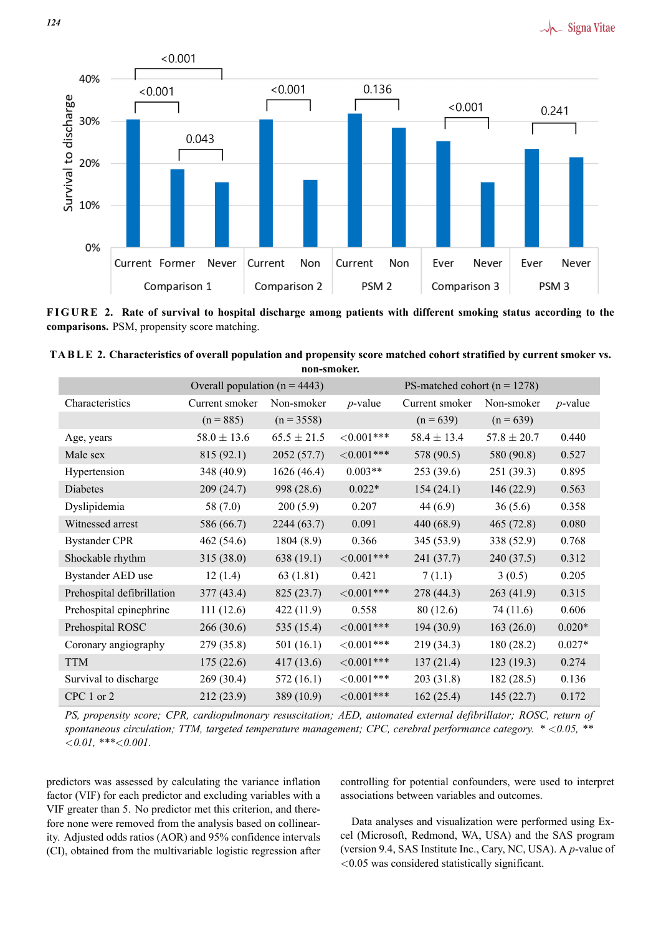<span id="page-3-0"></span>

**F I G U R E 2. Rate of survival to hospital discharge among patients with different smoking status according to the comparisons.** PSM, propensity score matching.

| TABLE 2. Characteristics of overall population and propensity score matched cohort stratified by current smoker vs. |
|---------------------------------------------------------------------------------------------------------------------|
| non-smoker.                                                                                                         |

|                            | Overall population $(n = 4443)$ |                 | PS-matched cohort ( $n = 1278$ ) |                 |                 |            |  |
|----------------------------|---------------------------------|-----------------|----------------------------------|-----------------|-----------------|------------|--|
| Characteristics            | Current smoker                  | Non-smoker      | $p$ -value                       | Current smoker  | Non-smoker      | $p$ -value |  |
|                            | $(n = 885)$                     | $(n = 3558)$    |                                  | $(n = 639)$     | $(n = 639)$     |            |  |
| Age, years                 | $58.0 \pm 13.6$                 | $65.5 \pm 21.5$ | ${<}0.001$ ***                   | $58.4 \pm 13.4$ | $57.8 \pm 20.7$ | 0.440      |  |
| Male sex                   | 815 (92.1)                      | 2052(57.7)      | ${<}0.001***$                    | 578 (90.5)      | 580 (90.8)      | 0.527      |  |
| Hypertension               | 348 (40.9)                      | 1626(46.4)      | $0.003**$                        | 253(39.6)       | 251 (39.3)      | 0.895      |  |
| Diabetes                   | 209 (24.7)                      | 998 (28.6)      | $0.022*$                         | 154(24.1)       | 146(22.9)       | 0.563      |  |
| Dyslipidemia               | 58 (7.0)                        | 200(5.9)        | 0.207                            | 44 (6.9)        | 36(5.6)         | 0.358      |  |
| Witnessed arrest           | 586 (66.7)                      | 2244 (63.7)     | 0.091                            | 440 (68.9)      | 465(72.8)       | 0.080      |  |
| <b>Bystander CPR</b>       | 462 (54.6)                      | 1804(8.9)       | 0.366                            | 345 (53.9)      | 338 (52.9)      | 0.768      |  |
| Shockable rhythm           | 315 (38.0)                      | 638(19.1)       | ${<}0.001***$                    | 241(37.7)       | 240 (37.5)      | 0.312      |  |
| <b>Bystander AED</b> use   | 12(1.4)                         | 63(1.81)        | 0.421                            | 7(1.1)          | 3(0.5)          | 0.205      |  |
| Prehospital defibrillation | 377(43.4)                       | 825(23.7)       | ${<}0.001***$                    | 278 (44.3)      | 263(41.9)       | 0.315      |  |
| Prehospital epinephrine    | 111(12.6)                       | 422(11.9)       | 0.558                            | 80 (12.6)       | 74 (11.6)       | 0.606      |  |
| Prehospital ROSC           | 266 (30.6)                      | 535 (15.4)      | ${<}0.001$ ***                   | 194 (30.9)      | 163(26.0)       | $0.020*$   |  |
| Coronary angiography       | 279 (35.8)                      | 501(16.1)       | ${<}0.001$ ***                   | 219 (34.3)      | 180 (28.2)      | $0.027*$   |  |
| <b>TTM</b>                 | 175(22.6)                       | 417(13.6)       | ${<}0.001***$                    | 137(21.4)       | 123(19.3)       | 0.274      |  |
| Survival to discharge      | 269 (30.4)                      | 572(16.1)       | ${<}0.001$ ***                   | 203 (31.8)      | 182 (28.5)      | 0.136      |  |
| CPC 1 or 2                 | 212 (23.9)                      | 389 (10.9)      | ${<}0.001$ ***                   | 162(25.4)       | 145(22.7)       | 0.172      |  |

*PS, propensity score; CPR, cardiopulmonary resuscitation; AED, automated external defibrillator; ROSC, return of spontaneous circulation; TTM, targeted temperature management; CPC, cerebral performance category. \* <0.05, \*\* <0.01, \*\*\*<0.001.*

predictors was assessed by calculating the variance inflation factor (VIF) for each predictor and excluding variables with a VIF greater than 5. No predictor met this criterion, and therefore none were removed from the analysis based on collinearity. Adjusted odds ratios (AOR) and 95% confidence intervals (CI), obtained from the multivariable logistic regression after controlling for potential confounders, were used to interpret associations between variables and outcomes.

Data analyses and visualization were performed using Excel (Microsoft, Redmond, WA, USA) and the SAS program (version 9.4, SAS Institute Inc., Cary, NC, USA). A *p*-value of *<*0.05 was considered statistically significant.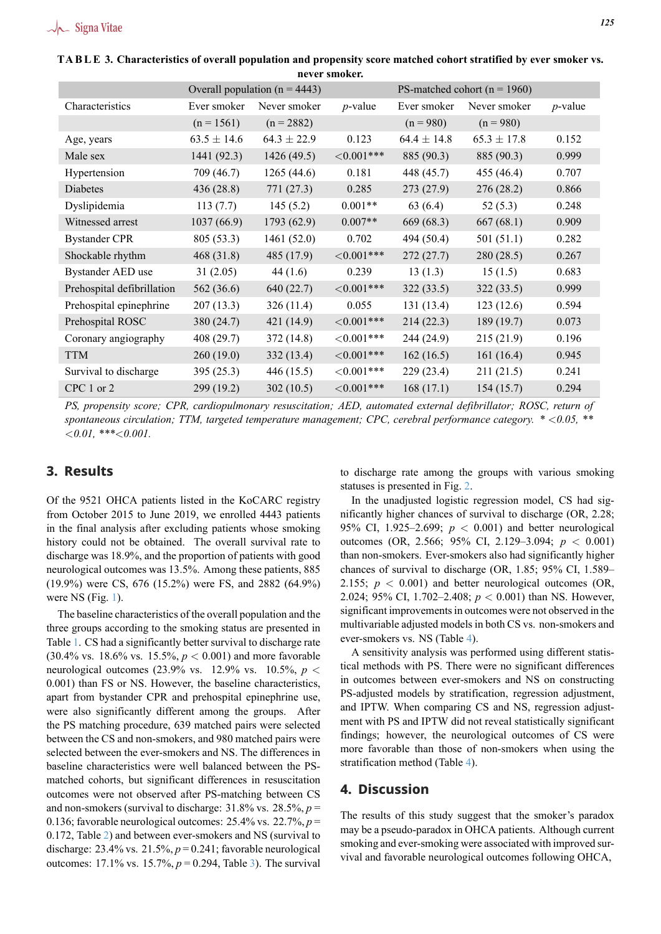| never smoker.              |                 |                                   |               |                 |                 |            |  |  |
|----------------------------|-----------------|-----------------------------------|---------------|-----------------|-----------------|------------|--|--|
|                            |                 | Overall population ( $n = 4443$ ) |               |                 |                 |            |  |  |
| Characteristics            | Ever smoker     | Never smoker                      | $p$ -value    | Ever smoker     | Never smoker    | $p$ -value |  |  |
|                            | $(n = 1561)$    | $(n = 2882)$                      |               | $(n = 980)$     | $(n = 980)$     |            |  |  |
| Age, years                 | $63.5 \pm 14.6$ | $64.3 \pm 22.9$                   | 0.123         | $64.4 \pm 14.8$ | $65.3 \pm 17.8$ | 0.152      |  |  |
| Male sex                   | 1441(92.3)      | 1426(49.5)                        | ${<}0.001***$ | 885 (90.3)      | 885 (90.3)      | 0.999      |  |  |
| Hypertension               | 709 (46.7)      | 1265(44.6)                        | 0.181         | 448 (45.7)      | 455 (46.4)      | 0.707      |  |  |
| Diabetes                   | 436 (28.8)      | 771(27.3)                         | 0.285         | 273(27.9)       | 276 (28.2)      | 0.866      |  |  |
| Dyslipidemia               | 113(7.7)        | 145(5.2)                          | $0.001**$     | 63(6.4)         | 52(5.3)         | 0.248      |  |  |
| Witnessed arrest           | 1037(66.9)      | 1793 (62.9)                       | $0.007**$     | 669 (68.3)      | 667(68.1)       | 0.909      |  |  |
| <b>Bystander CPR</b>       | 805 (53.3)      | 1461 (52.0)                       | 0.702         | 494 (50.4)      | 501(51.1)       | 0.282      |  |  |
| Shockable rhythm           | 468 (31.8)      | 485 (17.9)                        | ${<}0.001***$ | 272(27.7)       | 280 (28.5)      | 0.267      |  |  |
| Bystander AED use          | 31(2.05)        | 44(1.6)                           | 0.239         | 13(1.3)         | 15(1.5)         | 0.683      |  |  |
| Prehospital defibrillation | 562 (36.6)      | 640 (22.7)                        | ${<}0.001***$ | 322(33.5)       | 322(33.5)       | 0.999      |  |  |
| Prehospital epinephrine    | 207(13.3)       | 326(11.4)                         | 0.055         | 131(13.4)       | 123(12.6)       | 0.594      |  |  |
| Prehospital ROSC           | 380 (24.7)      | 421 (14.9)                        | ${<}0.001***$ | 214(22.3)       | 189(19.7)       | 0.073      |  |  |
| Coronary angiography       | 408 (29.7)      | 372 (14.8)                        | ${<}0.001***$ | 244 (24.9)      | 215(21.9)       | 0.196      |  |  |
| <b>TTM</b>                 | 260(19.0)       | 332(13.4)                         | ${<}0.001***$ | 162(16.5)       | 161(16.4)       | 0.945      |  |  |
| Survival to discharge      | 395 (25.3)      | 446 (15.5)                        | ${<}0.001***$ | 229(23.4)       | 211(21.5)       | 0.241      |  |  |
| CPC 1 or 2                 | 299 (19.2)      | 302(10.5)                         | ${<}0.001***$ | 168(17.1)       | 154(15.7)       | 0.294      |  |  |

**TA B L E 3. Characteristics of overall population and propensity score matched cohort stratified by ever smoker vs.**

*PS, propensity score; CPR, cardiopulmonary resuscitation; AED, automated external defibrillator; ROSC, return of spontaneous circulation; TTM, targeted temperature management; CPC, cerebral performance category. \* <0.05, \*\* <0.01, \*\*\*<0.001.*

## **3. Results**

Of the 9521 OHCA patients listed in the KoCARC registry from October 2015 to June 2019, we enrolled 4443 patients in the final analysis after excluding patients whose smoking history could not be obtained. The overall survival rate to discharge was 18.9%, and the proportion of patients with good neurological outcomes was 13.5%. Among these patients, 885 (19.9%) were CS, 676 (15.2%) were FS, and 2882 (64.9%) were NS (Fig. 1).

The baseline characteristics of the overall population and the three groups according to the smoking status are presented in Table 1. CS had a significantly better survival to discharge rate (30.4% vs. 18[.6](#page-1-0)% vs. 15.5%, *p <* 0.001) and more favorable neurological outcomes (23.9% vs. 12.9% vs. 10.5%, *p <* 0.001) than FS or NS. However, the baseline characteristics, apart [fr](#page-2-0)om bystander CPR and prehospital epinephrine use, were also significantly different among the groups. After the PS matching procedure, 639 matched pairs were selected between the CS and non-smokers, and 980 matched pairs were selected between the ever-smokers and NS. The differences in baseline characteristics were well balanced between the PSmatched cohorts, but significant differences in resuscitation outcomes were not observed after PS-matching between CS and non-smokers (survival to discharge:  $31.8\%$  vs.  $28.5\%$ ,  $p =$ 0.136; favorable neurological outcomes:  $25.4\%$  vs.  $22.7\%$ ,  $p =$ 0.172, Table 2) and between ever-smokers and NS (survival to discharge: 23.4% vs. 21.5%, *p* = 0.241; favorable neurological outcomes: 17.1% vs. 15.7%, *p* = 0.294, Table 3). The survival to discharge rate among the groups with various smoking statuses is presented in Fig. 2.

In the unadjusted logistic regression model, CS had significantly higher chances of survival to discharge (OR, 2.28; 95% CI, 1.925–2.699; *p <* 0.001) and better neurological outcomes (OR, 2.566; 95[%](#page-3-0) CI, 2.129–3.094; *p <* 0.001) than non-smokers. Ever-smokers also had significantly higher chances of survival to discharge (OR, 1.85; 95% CI, 1.589– 2.155;  $p < 0.001$ ) and better neurological outcomes (OR, 2.024; 95% CI, 1.702–2.408; *p <* 0.001) than NS. However, significant improvements in outcomes were not observed in the multivariable adjusted models in both CS vs. non-smokers and ever-smokers vs. NS (Table 4).

A sensitivity analysis was performed using different statistical methods with PS. There were no significant differences in outcomes between ever-smokers and NS on constructing PS-adjusted models by stra[tif](#page-5-0)ication, regression adjustment, and IPTW. When comparing CS and NS, regression adjustment with PS and IPTW did not reveal statistically significant findings; however, the neurological outcomes of CS were more favorable than those of non-smokers when using the stratification method (Table 4).

# **4. Discussion**

The results of this study s[ug](#page-5-0)gest that the smoker's paradox may be a pseudo-paradox in OHCA patients. Although current smoking and ever-smoking were associated with improved survival and favorable neurological outcomes following OHCA,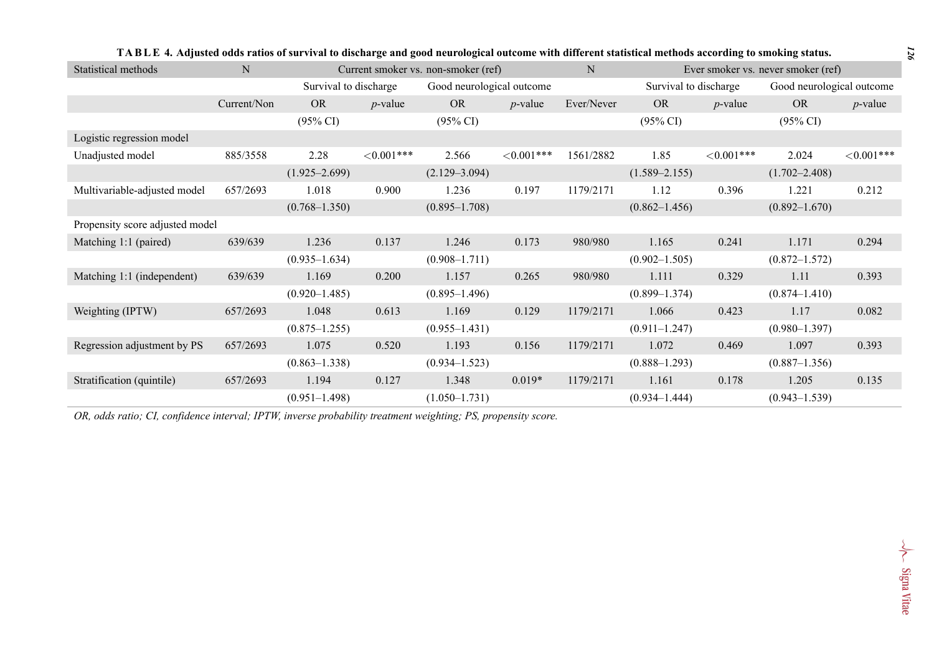| Statistical methods             | N           | Current smoker vs. non-smoker (ref) |               |                           |               | N          | Ever smoker vs. never smoker (ref) |               |                           |               |
|---------------------------------|-------------|-------------------------------------|---------------|---------------------------|---------------|------------|------------------------------------|---------------|---------------------------|---------------|
|                                 |             | Survival to discharge               |               | Good neurological outcome |               |            | Survival to discharge              |               | Good neurological outcome |               |
|                                 | Current/Non | <b>OR</b>                           | $p$ -value    | <b>OR</b>                 | $p$ -value    | Ever/Never | <b>OR</b>                          | $p$ -value    | <b>OR</b>                 | $p$ -value    |
|                                 |             | $(95\% \text{ CI})$                 |               | $(95\% \text{ CI})$       |               |            | $(95\% \text{ CI})$                |               | $(95\% \text{ CI})$       |               |
| Logistic regression model       |             |                                     |               |                           |               |            |                                    |               |                           |               |
| Unadjusted model                | 885/3558    | 2.28                                | ${<}0.001***$ | 2.566                     | ${<}0.001***$ | 1561/2882  | 1.85                               | ${<}0.001***$ | 2.024                     | ${<}0.001***$ |
|                                 |             | $(1.925 - 2.699)$                   |               | $(2.129 - 3.094)$         |               |            | $(1.589 - 2.155)$                  |               | $(1.702 - 2.408)$         |               |
| Multivariable-adjusted model    | 657/2693    | 1.018                               | 0.900         | 1.236                     | 0.197         | 1179/2171  | 1.12                               | 0.396         | 1.221                     | 0.212         |
|                                 |             | $(0.768 - 1.350)$                   |               | $(0.895 - 1.708)$         |               |            | $(0.862 - 1.456)$                  |               | $(0.892 - 1.670)$         |               |
| Propensity score adjusted model |             |                                     |               |                           |               |            |                                    |               |                           |               |
| Matching 1:1 (paired)           | 639/639     | 1.236                               | 0.137         | 1.246                     | 0.173         | 980/980    | 1.165                              | 0.241         | 1.171                     | 0.294         |
|                                 |             | $(0.935 - 1.634)$                   |               | $(0.908 - 1.711)$         |               |            | $(0.902 - 1.505)$                  |               | $(0.872 - 1.572)$         |               |
| Matching 1:1 (independent)      | 639/639     | 1.169                               | 0.200         | 1.157                     | 0.265         | 980/980    | 1.111                              | 0.329         | 1.11                      | 0.393         |
|                                 |             | $(0.920 - 1.485)$                   |               | $(0.895 - 1.496)$         |               |            | $(0.899 - 1.374)$                  |               | $(0.874 - 1.410)$         |               |
| Weighting (IPTW)                | 657/2693    | 1.048                               | 0.613         | 1.169                     | 0.129         | 1179/2171  | 1.066                              | 0.423         | 1.17                      | 0.082         |
|                                 |             | $(0.875 - 1.255)$                   |               | $(0.955 - 1.431)$         |               |            | $(0.911 - 1.247)$                  |               | $(0.980 - 1.397)$         |               |
| Regression adjustment by PS     | 657/2693    | 1.075                               | 0.520         | 1.193                     | 0.156         | 1179/2171  | 1.072                              | 0.469         | 1.097                     | 0.393         |
|                                 |             | $(0.863 - 1.338)$                   |               | $(0.934 - 1.523)$         |               |            | $(0.888 - 1.293)$                  |               | $(0.887 - 1.356)$         |               |
| Stratification (quintile)       | 657/2693    | 1.194                               | 0.127         | 1.348                     | $0.019*$      | 1179/2171  | 1.161                              | 0.178         | 1.205                     | 0.135         |
|                                 |             | $(0.951 - 1.498)$                   |               | $(1.050 - 1.731)$         |               |            | $(0.934 - 1.444)$                  |               | $(0.943 - 1.539)$         |               |

TABLE 4. Adjusted odds ratios of survival to discharge and good neurological outcome with different statistical methods according to smoking status.

<span id="page-5-0"></span>OR, odds ratio; CI, confidence interval; IPTW, inverse probability treatment weighting; PS, propensity score.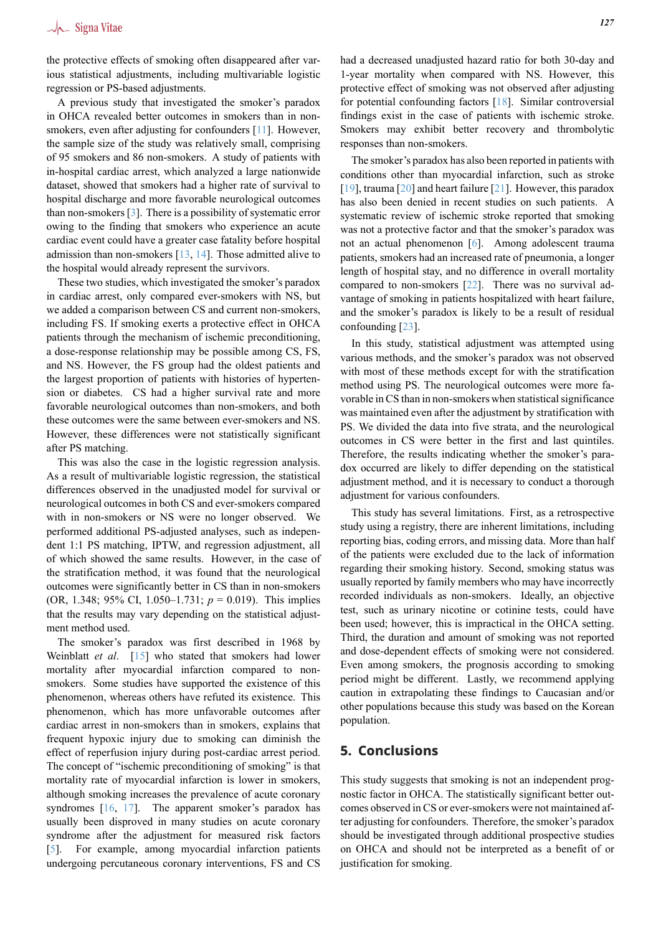the protective effects of smoking often disappeared after various statistical adjustments, including multivariable logistic regression or PS-based adjustments.

A previous study that investigated the smoker's paradox in OHCA revealed better outcomes in smokers than in nonsmokers, even after adjusting for confounders [11]. However, the sample size of the study was relatively small, comprising of 95 smokers and 86 non-smokers. A study of patients with in-hospital cardiac arrest, which analyzed a large nationwide dataset, showed that smokers had a higher rat[e of](#page-8-8) survival to hospital discharge and more favorable neurological outcomes than non-smokers [3]. There is a possibility of systematic error owing to the finding that smokers who experience an acute cardiac event could have a greater case fatality before hospital admission than non-smokers [13, 14]. Those admitted alive to the hospital would [al](#page-8-2)ready represent the survivors.

These two studies, which investigated the smoker's paradox in cardiac arrest, only compared ever-smokers with NS, but we added a comparison betw[een](#page-8-10) [CS](#page-8-11) and current non-smokers, including FS. If smoking exerts a protective effect in OHCA patients through the mechanism of ischemic preconditioning, a dose-response relationship may be possible among CS, FS, and NS. However, the FS group had the oldest patients and the largest proportion of patients with histories of hypertension or diabetes. CS had a higher survival rate and more favorable neurological outcomes than non-smokers, and both these outcomes were the same between ever-smokers and NS. However, these differences were not statistically significant after PS matching.

This was also the case in the logistic regression analysis. As a result of multivariable logistic regression, the statistical differences observed in the unadjusted model for survival or neurological outcomes in both CS and ever-smokers compared with in non-smokers or NS were no longer observed. We performed additional PS-adjusted analyses, such as independent 1:1 PS matching, IPTW, and regression adjustment, all of which showed the same results. However, in the case of the stratification method, it was found that the neurological outcomes were significantly better in CS than in non-smokers (OR, 1.348; 95% CI, 1.050–1.731; *p* = 0.019). This implies that the results may vary depending on the statistical adjustment method used.

The smoker's paradox was first described in 1968 by Weinblatt *et al*. [15] who stated that smokers had lower mortality after myocardial infarction compared to nonsmokers. Some studies have supported the existence of this phenomenon, whereas others have refuted its existence. This phenomenon, whic[h h](#page-8-12)as more unfavorable outcomes after cardiac arrest in non-smokers than in smokers, explains that frequent hypoxic injury due to smoking can diminish the effect of reperfusion injury during post-cardiac arrest period. The concept of "ischemic preconditioning of smoking" is that mortality rate of myocardial infarction is lower in smokers, although smoking increases the prevalence of acute coronary syndromes  $[16, 17]$ . The apparent smoker's paradox has usually been disproved in many studies on acute coronary syndrome after the adjustment for measured risk factors [5]. For example, among myocardial infarction patients undergoing [per](#page-8-13)c[utan](#page-8-14)eous coronary interventions, FS and CS had a decreased unadjusted hazard ratio for both 30-day and 1-year mortality when compared with NS. However, this protective effect of smoking was not observed after adjusting for potential confounding factors [18]. Similar controversial findings exist in the case of patients with ischemic stroke. Smokers may exhibit better recovery and thrombolytic responses than non-smokers.

The smoker's paradox has also b[een](#page-8-15) reported in patients with conditions other than myocardial infarction, such as stroke [19], trauma [20] and heart failure [21]. However, this paradox has also been denied in recent studies on such patients. A systematic review of ischemic stroke reported that smoking was not a protective factor and that the smoker's paradox was [not](#page-8-16) an actua[l ph](#page-8-17)enomenon [6]. [Am](#page-8-18)ong adolescent trauma patients, smokers had an increased rate of pneumonia, a longer length of hospital stay, and no difference in overall mortality compared to non-smokers [22]. There was no survival advantage of smoking in patien[ts](#page-8-5) hospitalized with heart failure, and the smoker's paradox is likely to be a result of residual confounding [23].

In this study, statistical [adj](#page-8-19)ustment was attempted using various methods, and the smoker's paradox was not observed with most of these methods except for with the stratification method using [PS](#page-8-20). The neurological outcomes were more favorable in CS than in non-smokers when statistical significance was maintained even after the adjustment by stratification with PS. We divided the data into five strata, and the neurological outcomes in CS were better in the first and last quintiles. Therefore, the results indicating whether the smoker's paradox occurred are likely to differ depending on the statistical adjustment method, and it is necessary to conduct a thorough adjustment for various confounders.

This study has several limitations. First, as a retrospective study using a registry, there are inherent limitations, including reporting bias, coding errors, and missing data. More than half of the patients were excluded due to the lack of information regarding their smoking history. Second, smoking status was usually reported by family members who may have incorrectly recorded individuals as non-smokers. Ideally, an objective test, such as urinary nicotine or cotinine tests, could have been used; however, this is impractical in the OHCA setting. Third, the duration and amount of smoking was not reported and dose-dependent effects of smoking were not considered. Even among smokers, the prognosis according to smoking period might be different. Lastly, we recommend applying caution in extrapolating these findings to Caucasian and/or other populations because this study was based on the Korean population.

## **5. Conclusions**

This study suggests that smoking is not an independent prognostic factor in OHCA. The statistically significant better outcomes observed in CS or ever-smokers were not maintained after adjusting for confounders. Therefore, the smoker's paradox should be investigated through additional prospective studies on OHCA and should not be interpreted as a benefit of or justification for smoking.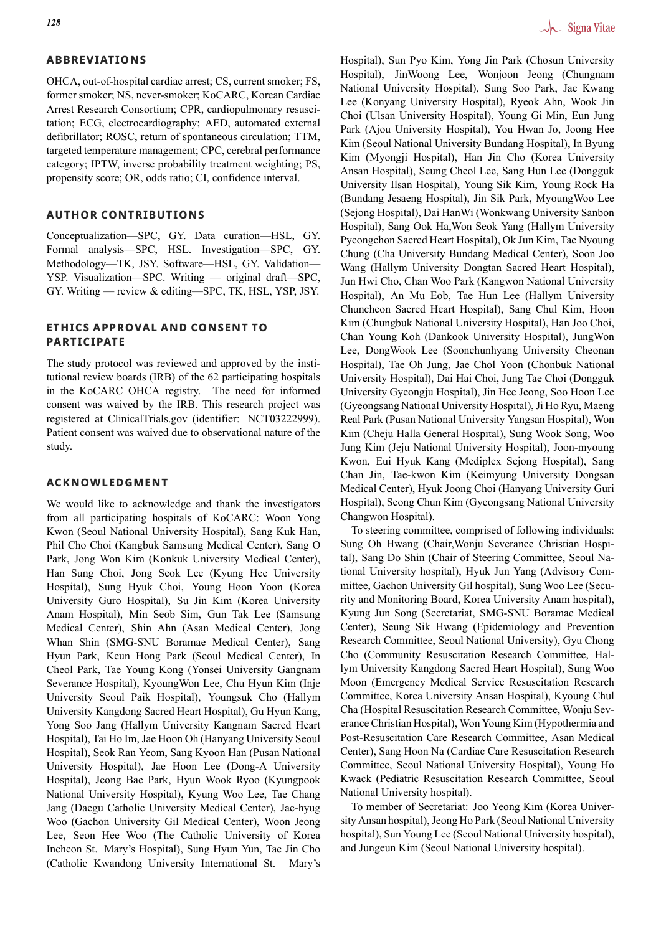#### **ABBREVIATIONS**

OHCA, out-of-hospital cardiac arrest; CS, current smoker; FS, former smoker; NS, never-smoker; KoCARC, Korean Cardiac Arrest Research Consortium; CPR, cardiopulmonary resuscitation; ECG, electrocardiography; AED, automated external defibrillator; ROSC, return of spontaneous circulation; TTM, targeted temperature management; CPC, cerebral performance category; IPTW, inverse probability treatment weighting; PS, propensity score; OR, odds ratio; CI, confidence interval.

## **AUTHOR CONTRIBUTIONS**

Conceptualization—SPC, GY. Data curation—HSL, GY. Formal analysis—SPC, HSL. Investigation—SPC, GY. Methodology—TK, JSY. Software—HSL, GY. Validation— YSP. Visualization—SPC. Writing — original draft—SPC, GY. Writing — review & editing—SPC, TK, HSL, YSP, JSY.

## **ETHICS APPROVAL AND CONSENT TO PARTICIPATE**

The study protocol was reviewed and approved by the institutional review boards (IRB) of the 62 participating hospitals in the KoCARC OHCA registry. The need for informed consent was waived by the IRB. This research project was registered at ClinicalTrials.gov (identifier: NCT03222999). Patient consent was waived due to observational nature of the study.

#### **ACKNOWLEDGMENT**

We would like to acknowledge and thank the investigators from all participating hospitals of KoCARC: Woon Yong Kwon (Seoul National University Hospital), Sang Kuk Han, Phil Cho Choi (Kangbuk Samsung Medical Center), Sang O Park, Jong Won Kim (Konkuk University Medical Center), Han Sung Choi, Jong Seok Lee (Kyung Hee University Hospital), Sung Hyuk Choi, Young Hoon Yoon (Korea University Guro Hospital), Su Jin Kim (Korea University Anam Hospital), Min Seob Sim, Gun Tak Lee (Samsung Medical Center), Shin Ahn (Asan Medical Center), Jong Whan Shin (SMG-SNU Boramae Medical Center), Sang Hyun Park, Keun Hong Park (Seoul Medical Center), In Cheol Park, Tae Young Kong (Yonsei University Gangnam Severance Hospital), KyoungWon Lee, Chu Hyun Kim (Inje University Seoul Paik Hospital), Youngsuk Cho (Hallym University Kangdong Sacred Heart Hospital), Gu Hyun Kang, Yong Soo Jang (Hallym University Kangnam Sacred Heart Hospital), Tai Ho Im, Jae Hoon Oh (Hanyang University Seoul Hospital), Seok Ran Yeom, Sang Kyoon Han (Pusan National University Hospital), Jae Hoon Lee (Dong-A University Hospital), Jeong Bae Park, Hyun Wook Ryoo (Kyungpook National University Hospital), Kyung Woo Lee, Tae Chang Jang (Daegu Catholic University Medical Center), Jae-hyug Woo (Gachon University Gil Medical Center), Woon Jeong Lee, Seon Hee Woo (The Catholic University of Korea Incheon St. Mary's Hospital), Sung Hyun Yun, Tae Jin Cho (Catholic Kwandong University International St. Mary's

Hospital), Sun Pyo Kim, Yong Jin Park (Chosun University Hospital), JinWoong Lee, Wonjoon Jeong (Chungnam National University Hospital), Sung Soo Park, Jae Kwang Lee (Konyang University Hospital), Ryeok Ahn, Wook Jin Choi (Ulsan University Hospital), Young Gi Min, Eun Jung Park (Ajou University Hospital), You Hwan Jo, Joong Hee Kim (Seoul National University Bundang Hospital), In Byung Kim (Myongji Hospital), Han Jin Cho (Korea University Ansan Hospital), Seung Cheol Lee, Sang Hun Lee (Dongguk University Ilsan Hospital), Young Sik Kim, Young Rock Ha (Bundang Jesaeng Hospital), Jin Sik Park, MyoungWoo Lee (Sejong Hospital), Dai HanWi (Wonkwang University Sanbon Hospital), Sang Ook Ha,Won Seok Yang (Hallym University Pyeongchon Sacred Heart Hospital), Ok Jun Kim, Tae Nyoung Chung (Cha University Bundang Medical Center), Soon Joo Wang (Hallym University Dongtan Sacred Heart Hospital), Jun Hwi Cho, Chan Woo Park (Kangwon National University Hospital), An Mu Eob, Tae Hun Lee (Hallym University Chuncheon Sacred Heart Hospital), Sang Chul Kim, Hoon Kim (Chungbuk National University Hospital), Han Joo Choi, Chan Young Koh (Dankook University Hospital), JungWon Lee, DongWook Lee (Soonchunhyang University Cheonan Hospital), Tae Oh Jung, Jae Chol Yoon (Chonbuk National University Hospital), Dai Hai Choi, Jung Tae Choi (Dongguk University Gyeongju Hospital), Jin Hee Jeong, Soo Hoon Lee (Gyeongsang National University Hospital), Ji Ho Ryu, Maeng Real Park (Pusan National University Yangsan Hospital), Won Kim (Cheju Halla General Hospital), Sung Wook Song, Woo Jung Kim (Jeju National University Hospital), Joon-myoung Kwon, Eui Hyuk Kang (Mediplex Sejong Hospital), Sang Chan Jin, Tae-kwon Kim (Keimyung University Dongsan Medical Center), Hyuk Joong Choi (Hanyang University Guri Hospital), Seong Chun Kim (Gyeongsang National University Changwon Hospital).

To steering committee, comprised of following individuals: Sung Oh Hwang (Chair,Wonju Severance Christian Hospital), Sang Do Shin (Chair of Steering Committee, Seoul National University hospital), Hyuk Jun Yang (Advisory Committee, Gachon University Gil hospital), Sung Woo Lee (Security and Monitoring Board, Korea University Anam hospital), Kyung Jun Song (Secretariat, SMG-SNU Boramae Medical Center), Seung Sik Hwang (Epidemiology and Prevention Research Committee, Seoul National University), Gyu Chong Cho (Community Resuscitation Research Committee, Hallym University Kangdong Sacred Heart Hospital), Sung Woo Moon (Emergency Medical Service Resuscitation Research Committee, Korea University Ansan Hospital), Kyoung Chul Cha (Hospital Resuscitation Research Committee, Wonju Severance Christian Hospital), Won Young Kim (Hypothermia and Post-Resuscitation Care Research Committee, Asan Medical Center), Sang Hoon Na (Cardiac Care Resuscitation Research Committee, Seoul National University Hospital), Young Ho Kwack (Pediatric Resuscitation Research Committee, Seoul National University hospital).

To member of Secretariat: Joo Yeong Kim (Korea University Ansan hospital), Jeong Ho Park (Seoul National University hospital), Sun Young Lee (Seoul National University hospital), and Jungeun Kim (Seoul National University hospital).